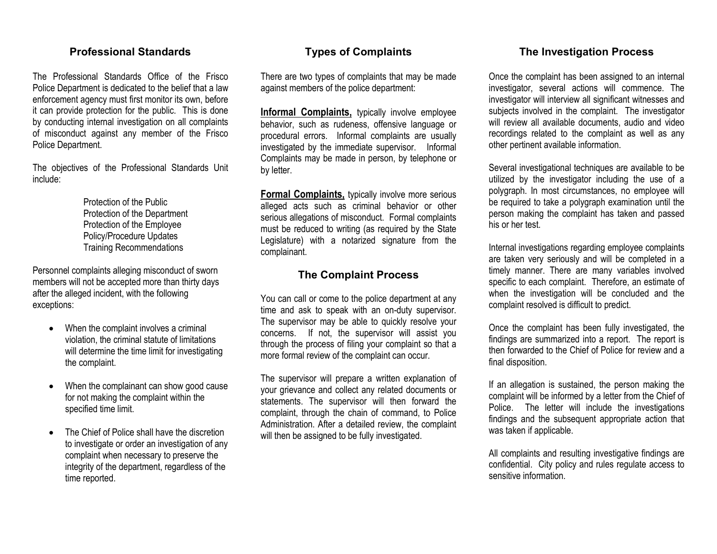## Professional Standards

The Professional Standards Office of the Frisco Police Department is dedicated to the belief that a law enforcement agency must first monitor its own, before it can provide protection for the public. This is done by conducting internal investigation on all complaints of misconduct against any member of the Frisco Police Department.

The objectives of the Professional Standards Unit include:

 Protection of the Public Protection of the Department Protection of the Employee Policy/Procedure Updates Training Recommendations

Personnel complaints alleging misconduct of sworn members will not be accepted more than thirty days after the alleged incident, with the following exceptions:

- When the complaint involves a criminal violation, the criminal statute of limitations will determine the time limit for investigating the complaint.
- • When the complainant can show good cause for not making the complaint within the specified time limit.
- • The Chief of Police shall have the discretion to investigate or order an investigation of any complaint when necessary to preserve the integrity of the department, regardless of the time reported.

## Types of Complaints

There are two types of complaints that may be made against members of the police department:

**Informal Complaints,** typically involve employee behavior, such as rudeness, offensive language or procedural errors. Informal complaints are usually investigated by the immediate supervisor. Informal Complaints may be made in person, by telephone or by letter.

**Formal Complaints,** typically involve more serious alleged acts such as criminal behavior or other serious allegations of misconduct. Formal complaints must be reduced to writing (as required by the State Legislature) with a notarized signature from the complainant.

### The Complaint Process

You can call or come to the police department at any time and ask to speak with an on-duty supervisor. The supervisor may be able to quickly resolve your concerns. If not, the supervisor will assist you through the process of filing your complaint so that a more formal review of the complaint can occur.

The supervisor will prepare a written explanation of your grievance and collect any related documents or statements. The supervisor will then forward the complaint, through the chain of command, to Police Administration. After a detailed review, the complaint will then be assigned to be fully investigated.

## The Investigation Process

Once the complaint has been assigned to an internal investigator, several actions will commence. The investigator will interview all significant witnesses and subjects involved in the complaint. The investigator will review all available documents, audio and video recordings related to the complaint as well as any other pertinent available information.

Several investigational techniques are available to be utilized by the investigator including the use of a polygraph. In most circumstances, no employee will be required to take a polygraph examination until the person making the complaint has taken and passed his or her test.

Internal investigations regarding employee complaints are taken very seriously and will be completed in a timely manner. There are many variables involved specific to each complaint. Therefore, an estimate of when the investigation will be concluded and the complaint resolved is difficult to predict.

Once the complaint has been fully investigated, the findings are summarized into a report. The report is then forwarded to the Chief of Police for review and a final disposition.

If an allegation is sustained, the person making the complaint will be informed by a letter from the Chief of Police. The letter will include the investigations findings and the subsequent appropriate action thatwas taken if applicable.

All complaints and resulting investigative findings are confidential. City policy and rules regulate access to sensitive information.